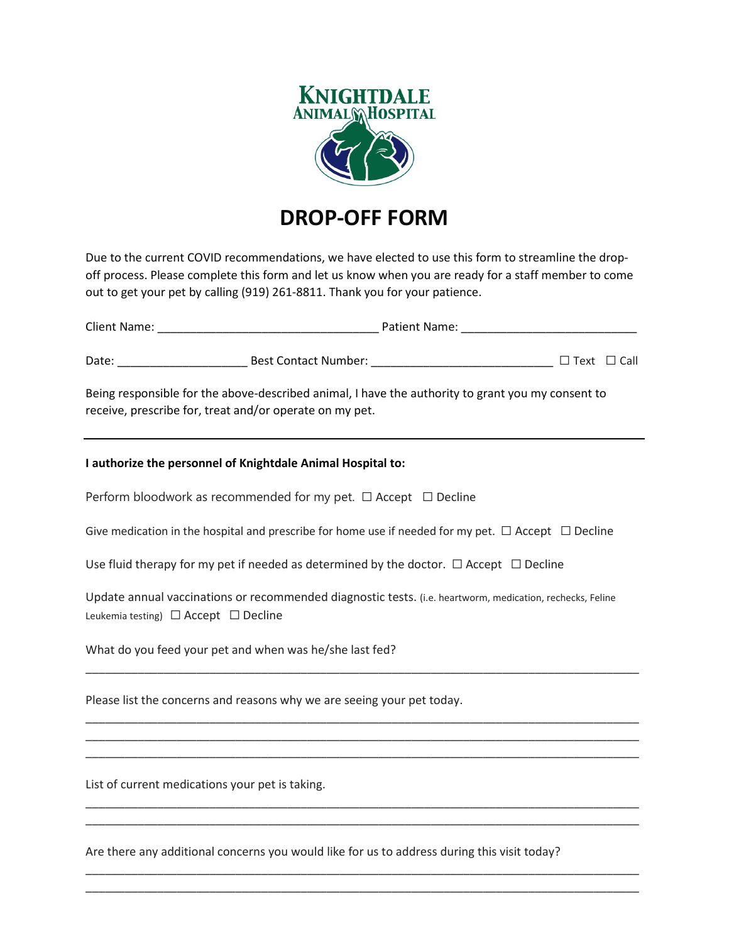

## **DROP-OFF FORM**

Due to the current COVID recommendations, we have elected to use this form to streamline the dropoff process. Please complete this form and let us know when you are ready for a staff member to come out to get your pet by calling (919) 261-8811. Thank you for your patience.

| Being responsible for the above-described animal, I have the authority to grant you my consent to<br>receive, prescribe for, treat and/or operate on my pet. |  |  |
|--------------------------------------------------------------------------------------------------------------------------------------------------------------|--|--|
| I authorize the personnel of Knightdale Animal Hospital to:                                                                                                  |  |  |
| Perform bloodwork as recommended for my pet. $\Box$ Accept $\Box$ Decline                                                                                    |  |  |
| Give medication in the hospital and prescribe for home use if needed for my pet. $\Box$ Accept $\Box$ Decline                                                |  |  |
| Use fluid therapy for my pet if needed as determined by the doctor. $\Box$ Accept $\Box$ Decline                                                             |  |  |
| Update annual vaccinations or recommended diagnostic tests. (i.e. heartworm, medication, rechecks, Feline<br>Leukemia testing) $\Box$ Accept $\Box$ Decline  |  |  |
| What do you feed your pet and when was he/she last fed?                                                                                                      |  |  |
| Please list the concerns and reasons why we are seeing your pet today.                                                                                       |  |  |

\_\_\_\_\_\_\_\_\_\_\_\_\_\_\_\_\_\_\_\_\_\_\_\_\_\_\_\_\_\_\_\_\_\_\_\_\_\_\_\_\_\_\_\_\_\_\_\_\_\_\_\_\_\_\_\_\_\_\_\_\_\_\_\_\_\_\_\_\_\_\_\_\_\_\_\_\_\_\_\_\_\_\_\_\_ \_\_\_\_\_\_\_\_\_\_\_\_\_\_\_\_\_\_\_\_\_\_\_\_\_\_\_\_\_\_\_\_\_\_\_\_\_\_\_\_\_\_\_\_\_\_\_\_\_\_\_\_\_\_\_\_\_\_\_\_\_\_\_\_\_\_\_\_\_\_\_\_\_\_\_\_\_\_\_\_\_\_\_\_\_ \_\_\_\_\_\_\_\_\_\_\_\_\_\_\_\_\_\_\_\_\_\_\_\_\_\_\_\_\_\_\_\_\_\_\_\_\_\_\_\_\_\_\_\_\_\_\_\_\_\_\_\_\_\_\_\_\_\_\_\_\_\_\_\_\_\_\_\_\_\_\_\_\_\_\_\_\_\_\_\_\_\_\_\_\_

\_\_\_\_\_\_\_\_\_\_\_\_\_\_\_\_\_\_\_\_\_\_\_\_\_\_\_\_\_\_\_\_\_\_\_\_\_\_\_\_\_\_\_\_\_\_\_\_\_\_\_\_\_\_\_\_\_\_\_\_\_\_\_\_\_\_\_\_\_\_\_\_\_\_\_\_\_\_\_\_\_\_\_\_\_ \_\_\_\_\_\_\_\_\_\_\_\_\_\_\_\_\_\_\_\_\_\_\_\_\_\_\_\_\_\_\_\_\_\_\_\_\_\_\_\_\_\_\_\_\_\_\_\_\_\_\_\_\_\_\_\_\_\_\_\_\_\_\_\_\_\_\_\_\_\_\_\_\_\_\_\_\_\_\_\_\_\_\_\_\_

\_\_\_\_\_\_\_\_\_\_\_\_\_\_\_\_\_\_\_\_\_\_\_\_\_\_\_\_\_\_\_\_\_\_\_\_\_\_\_\_\_\_\_\_\_\_\_\_\_\_\_\_\_\_\_\_\_\_\_\_\_\_\_\_\_\_\_\_\_\_\_\_\_\_\_\_\_\_\_\_\_\_\_\_\_ \_\_\_\_\_\_\_\_\_\_\_\_\_\_\_\_\_\_\_\_\_\_\_\_\_\_\_\_\_\_\_\_\_\_\_\_\_\_\_\_\_\_\_\_\_\_\_\_\_\_\_\_\_\_\_\_\_\_\_\_\_\_\_\_\_\_\_\_\_\_\_\_\_\_\_\_\_\_\_\_\_\_\_\_\_

List of current medications your pet is taking.

Are there any additional concerns you would like for us to address during this visit today?